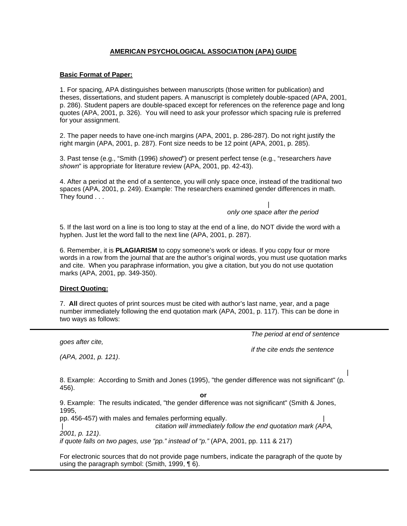# **AMERICAN PSYCHOLOGICAL ASSOCIATION (APA) GUIDE**

### **Basic Format of Paper:**

1. For spacing, APA distinguishes between manuscripts (those written for publication) and theses, dissertations, and student papers. A manuscript is completely double-spaced (APA, 2001, p. 286). Student papers are double-spaced except for references on the reference page and long quotes (APA, 2001, p. 326). You will need to ask your professor which spacing rule is preferred for your assignment.

2. The paper needs to have one-inch margins (APA, 2001, p. 286-287). Do not right justify the right margin (APA, 2001, p. 287). Font size needs to be 12 point (APA, 2001, p. 285).

3. Past tense (e.g., "Smith (1996) *showed*") or present perfect tense (e.g., "researchers *have shown*" is appropriate for literature review (APA, 2001, pp. 42-43).

4. After a period at the end of a sentence, you will only space once, instead of the traditional two spaces (APA, 2001, p. 249). Example: The researchers examined gender differences in math. They found . . .

 | *only one space after the period* 

5. If the last word on a line is too long to stay at the end of a line, do NOT divide the word with a hyphen. Just let the word fall to the next line (APA, 2001, p. 287).

6. Remember, it is **PLAGIARISM** to copy someone's work or ideas. If you copy four or more words in a row from the journal that are the author's original words, you must use quotation marks and cite. When you paraphrase information, you give a citation, but you do not use quotation marks (APA, 2001, pp. 349-350).

#### **Direct Quoting:**

*goes after cite,* 

*(APA, 2001, p. 121)*.

l

7. **All** direct quotes of print sources must be cited with author's last name, year, and a page number immediately following the end quotation mark (APA, 2001, p. 117). This can be done in two ways as follows:

*The period at end of sentence* 

 *if the cite ends the sentence* 

|

8. Example: According to Smith and Jones (1995), "the gender difference was not significant" (p. 456).

**or**

9. Example: The results indicated, "the gender difference was not significant" (Smith & Jones, 1995,

pp. 456-457) with males and females performing equally. | | *citation will immediately follow the end quotation mark (APA,* 

*2001, p. 121)*.

ֺ

*if quote falls on two pages, use "pp." instead of "p."* (APA, 2001, pp. 111 & 217)

For electronic sources that do not provide page numbers, indicate the paragraph of the quote by using the paragraph symbol: (Smith, 1999, ¶ 6).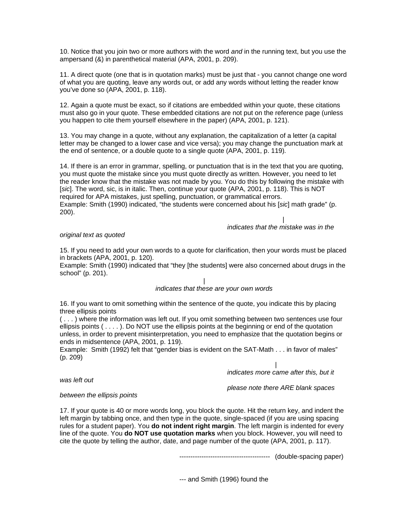10. Notice that you join two or more authors with the word *and* in the running text, but you use the ampersand (&) in parenthetical material (APA, 2001, p. 209).

11. A direct quote (one that is in quotation marks) must be just that - you cannot change one word of what you are quoting, leave any words out, or add any words without letting the reader know you've done so (APA, 2001, p. 118).

12. Again a quote must be exact, so if citations are embedded within your quote, these citations must also go in your quote. These embedded citations are not put on the reference page (unless you happen to cite them yourself elsewhere in the paper) (APA, 2001, p. 121).

13. You may change in a quote, without any explanation, the capitalization of a letter (a capital letter may be changed to a lower case and vice versa); you may change the punctuation mark at the end of sentence, or a double quote to a single quote (APA, 2001, p. 119)*.*

14. If there is an error in grammar, spelling, or punctuation that is in the text that you are quoting, you must quote the mistake since you must quote directly as written. However, you need to let the reader know that the mistake was not made by you. You do this by following the mistake with [*sic*]. The word, sic, is in italic. Then, continue your quote (APA, 2001, p. 118). This is NOT required for APA mistakes, just spelling, punctuation, or grammatical errors. Example: Smith (1990) indicated, "the students were concerned about his [*sic*] math grade" (p. 200).

 | *indicates that the mistake was in the* 

#### *original text as quoted*

15. If you need to add your own words to a quote for clarification, then your words must be placed in brackets (APA, 2001, p. 120).

Example: Smith (1990) indicated that "they [the students] were also concerned about drugs in the school" (p. 201).

#### | *indicates that these are your own words*

16. If you want to omit something within the sentence of the quote, you indicate this by placing three ellipsis points

( . . . ) where the information was left out. If you omit something between two sentences use four ellipsis points  $( \ldots )$ . Do NOT use the ellipsis points at the beginning or end of the quotation unless, in order to prevent misinterpretation, you need to emphasize that the quotation begins or ends in midsentence (APA, 2001, p. 119).

Example:Smith (1992) felt that "gender bias is evident on the SAT-Math . . . in favor of males" (p. 209)

 | *indicates more came after this, but it* 

*was left out* 

 *please note there ARE blank spaces* 

#### *between the ellipsis points*

17. If your quote is 40 or more words long, you block the quote. Hit the return key, and indent the left margin by tabbing once, and then type in the quote, single-spaced (if you are using spacing rules for a student paper). You **do not indent right margin**. The left margin is indented for every line of the quote. You **do NOT use quotation marks** when you block. However, you will need to cite the quote by telling the author, date, and page number of the quote (APA, 2001, p. 117).

----------------------------------------- (double-spacing paper)

--- and Smith (1996) found the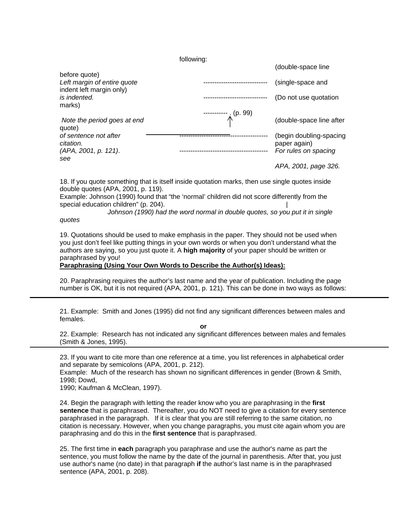following:

|                                                            |                     | (double-space line                                              |
|------------------------------------------------------------|---------------------|-----------------------------------------------------------------|
| before quote)<br>Left margin of entire quote               |                     | (single-space and                                               |
| indent left margin only)<br>is indented.<br>marks)         |                     | (Do not use quotation                                           |
| Note the period goes at end<br>quote)                      | ----------- (p. 99) | (double-space line after                                        |
| of sentence not after<br>citation.<br>(APA, 2001, p. 121). |                     | (begin doubling-spacing<br>paper again)<br>For rules on spacing |
| see                                                        |                     | APA, 2001, page 326.                                            |

18. If you quote something that is itself inside quotation marks, then use single quotes inside double quotes (APA, 2001, p. 119).

Example: Johnson (1990) found that "the 'normal' children did not score differently from the special education children" (p. 204).

*Johnson (1990) had the word normal in double quotes, so you put it in single* 

*quotes*

L

٦

19. Quotations should be used to make emphasis in the paper. They should not be used when you just don't feel like putting things in your own words or when you don't understand what the authors are saying, so you just quote it. A **high majority** of your paper should be written or paraphrased by you!

**Paraphrasing (Using Your Own Words to Describe the Author(s) Ideas):**

20. Paraphrasing requires the author's last name and the year of publication. Including the page number is OK, but it is not required (APA, 2001, p. 121). This can be done in two ways as follows:

21. Example: Smith and Jones (1995) did not find any significant differences between males and females.

**or** 

22. Example: Research has not indicated any significant differences between males and females (Smith & Jones, 1995).

23. If you want to cite more than one reference at a time, you list references in alphabetical order and separate by semicolons (APA, 2001, p. 212).

Example:Much of the research has shown no significant differences in gender (Brown & Smith, 1998; Dowd,

1990; Kaufman & McClean, 1997).

24. Begin the paragraph with letting the reader know who you are paraphrasing in the **first sentence** that is paraphrased. Thereafter, you do NOT need to give a citation for every sentence paraphrased in the paragraph. If it is clear that you are still referring to the same citation, no citation is necessary. However, when you change paragraphs, you must cite again whom you are paraphrasing and do this in the **first sentence** that is paraphrased.

25. The first time in **each** paragraph you paraphrase and use the author's name as part the sentence, you must follow the name by the date of the journal in parenthesis. After that, you just use author's name (no date) in that paragraph **if** the author's last name is in the paraphrased sentence (APA, 2001, p. 208).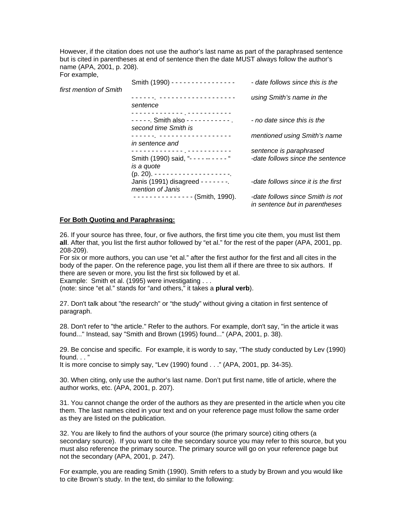However, if the citation does not use the author's last name as part of the paraphrased sentence but is cited in parentheses at end of sentence then the date MUST always follow the author's name (APA, 2001, p. 208). For example,

| first mention of Smith | Smith (1990) - - - - - - - - - - - - - - - -                    | - date follows since this is the                                   |
|------------------------|-----------------------------------------------------------------|--------------------------------------------------------------------|
|                        | sentence                                                        | using Smith's name in the                                          |
|                        | -------------- <sub>-</sub> -----------<br>second time Smith is | - no date since this is the                                        |
|                        | in sentence and                                                 | mentioned using Smith's name                                       |
|                        | -------------- <sub>-</sub> -----------                         | sentence is paraphrased                                            |
|                        | Smith (1990) said, "---------"<br>is a quote                    | -date follows since the sentence                                   |
|                        | Janis (1991) disagreed - - - - - - - .<br>mention of Janis      | -date follows since it is the first                                |
|                        | $------------(Smith, 1990)$ .                                   | -date follows since Smith is not<br>in sentence but in parentheses |

#### **For Both Quoting and Paraphrasing:**

26. If your source has three, four, or five authors, the first time you cite them, you must list them **all**. After that, you list the first author followed by "et al." for the rest of the paper (APA, 2001, pp. 208-209).

For six or more authors, you can use "et al." after the first author for the first and all cites in the body of the paper. On the reference page, you list them all if there are three to six authors. If there are seven or more, you list the first six followed by et al.

Example: Smith et al. (1995) were investigating . . .

(note: since "et al." stands for "and others," it takes a **plural verb**).

27. Don't talk about "the research" or "the study" without giving a citation in first sentence of paragraph.

28. Don't refer to "the article." Refer to the authors. For example, don't say, "in the article it was found..." Instead, say "Smith and Brown (1995) found..." (APA, 2001, p. 38).

29. Be concise and specific. For example, it is wordy to say, "The study conducted by Lev (1990) found. . . "

It is more concise to simply say, "Lev (1990) found . . ." (APA, 2001, pp. 34-35).

30. When citing, only use the author's last name. Don't put first name, title of article, where the author works, etc. (APA, 2001, p. 207).

31. You cannot change the order of the authors as they are presented in the article when you cite them. The last names cited in your text and on your reference page must follow the same order as they are listed on the publication.

32. You are likely to find the authors of your source (the primary source) citing others (a secondary source). If you want to cite the secondary source you may refer to this source, but you must also reference the primary source. The primary source will go on your reference page but not the secondary (APA, 2001, p. 247).

For example, you are reading Smith (1990). Smith refers to a study by Brown and you would like to cite Brown's study. In the text, do similar to the following: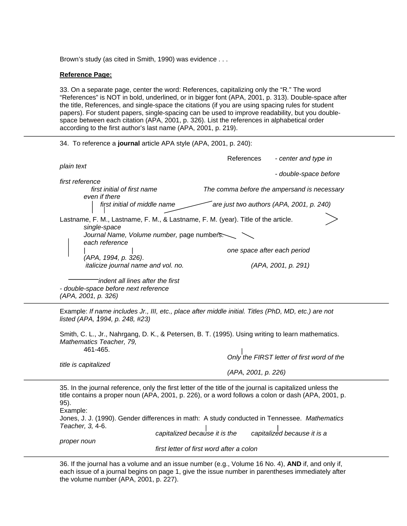Brown's study (as cited in Smith, 1990) was evidence . . .

#### **Reference Page:**

 $\overline{a}$ 

 $\overline{a}$ 

33. On a separate page, center the word: References, capitalizing only the "R." The word "References" is NOT in bold, underlined, or in bigger font (APA, 2001, p. 313). Double-space after the title, References, and single-space the citations (if you are using spacing rules for student papers). For student papers, single-spacing can be used to improve readability, but you doublespace between each citation (APA, 2001, p. 326). List the references in alphabetical order according to the first author's last name (APA, 2001, p. 219).

#### 34. To reference a **journal** article APA style (APA, 2001, p. 240):

|                                                                                                   | References<br>- center and type in          |
|---------------------------------------------------------------------------------------------------|---------------------------------------------|
| plain text                                                                                        |                                             |
|                                                                                                   | - double-space before                       |
| first reference                                                                                   |                                             |
| first initial of first name                                                                       | The comma before the ampersand is necessary |
| even if there                                                                                     |                                             |
| first initial of middle name                                                                      | are just two authors (APA, 2001, p. 240)    |
| Lastname, F. M., Lastname, F. M., & Lastname, F. M. (year). Title of the article.<br>single-space |                                             |
| Journal Name, Volume number, page numbers.<br>each reference                                      |                                             |
|                                                                                                   | one space after each period                 |
| (APA, 1994, p. 326).                                                                              |                                             |
| italicize journal name and vol. no.                                                               | (APA, 2001, p. 291)                         |
| indent all lines after the first                                                                  |                                             |
| - double-space before next reference                                                              |                                             |
| (APA, 2001, p. 326)                                                                               |                                             |

Example: *If name includes Jr., III, etc., place after middle initial. Titles (PhD, MD, etc.) are not listed (APA, 1994, p. 248, #23)* 

Smith, C. L., Jr., Nahrgang, D. K., & Petersen, B. T. (1995). Using writing to learn mathematics. *Mathematics Teacher, 79,* 461-465.

*title is capitalized* 

 *(APA, 2001, p. 226)* 

*Only the FIRST letter of first word of the* 

 35. In the journal reference, only the first letter of the title of the journal is capitalized unless the title contains a proper noun (APA, 2001, p. 226), or a word follows a colon or dash (APA, 2001, p. 95). Example: Jones, J. J. (1990). Gender differences in math: A study conducted in Tennessee. *Mathematics Teacher, 3,* 4-6. *capitalized because it is the capitalized because it is a proper noun* 

*first letter of first word after a colon* 

36. If the journal has a volume and an issue number (e.g., Volume 16 No. 4), **AND** if, and only if, each issue of a journal begins on page 1, give the issue number in parentheses immediately after the volume number (APA, 2001, p. 227).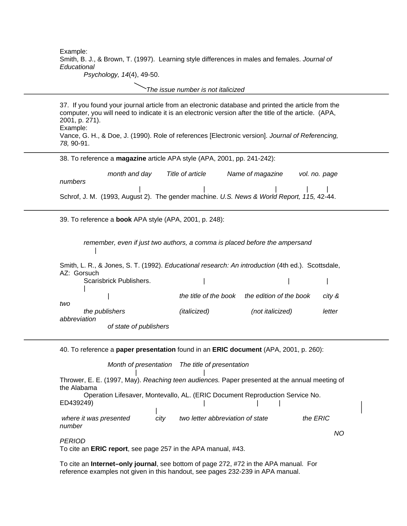Example: Smith, B. J., & Brown, T. (1997). Learning style differences in males and females. *Journal of Educational* 

*Psychology, 14*(4), 49-50.

I

ֺ

Ï

*The issue number is not italicized*

37. If you found your journal article from an electronic database and printed the article from the computer, you will need to indicate it is an electronic version after the title of the article. (APA, 2001, p. 271). Example: Vance, G. H., & Doe, J. (1990). Role of references [Electronic version]. *Journal of Referencing, 78,* 90-91.  $\overline{a}$ 

| 38. To reference a magazine article APA style (APA, 2001, pp. 241-242): |               |                  |                                                                                               |               |  |
|-------------------------------------------------------------------------|---------------|------------------|-----------------------------------------------------------------------------------------------|---------------|--|
|                                                                         | month and day | Title of article | Name of magazine                                                                              | vol. no. page |  |
| numbers                                                                 |               |                  | <br>Schrof, J. M. (1993, August 2). The gender machine. U.S. News & World Report, 115, 42-44. |               |  |
|                                                                         |               |                  |                                                                                               |               |  |

39. To reference a **book** APA style (APA, 2001, p. 248):

*remember, even if just two authors, a comma is placed before the ampersand*  |

Smith, L. R., & Jones, S. T. (1992). *Educational research: An introduction* (4th ed.). Scottsdale, AZ: Gorsuch Scarisbrick Publishers. | | | || || || || || || | *the title of the book the edition of the book city & two the publishers (italicized) (not italicized) letter abbreviation of state of publishers* 

40. To reference a **paper presentation** found in an **ERIC document** (APA, 2001, p. 260):

*Month of presentation The title of presentation*

 | | Thrower, E. E. (1997, May). *Reaching teen audiences.* Paper presented at the annual meeting of the Alabama

Operation Lifesaver, Montevallo, AL. (ERIC Document Reproduction Service No. ED439249) |

where it was presented city two letter abbreviation of state the ERIC *number* 

 *NO*

*PERIOD* 

To cite an **ERIC report**, see page 257 in the APA manual, #43.

To cite an **Internet–only journal**, see bottom of page 272, #72 in the APA manual. For reference examples not given in this handout, see pages 232-239 in APA manual.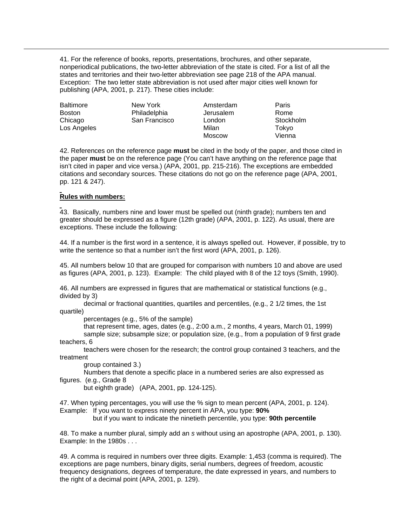41. For the reference of books, reports, presentations, brochures, and other separate, nonperiodical publications, the two-letter abbreviation of the state is cited. For a list of all the states and territories and their two-letter abbreviation see page 218 of the APA manual. Exception: The two letter state abbreviation is not used after major cities well known for publishing (APA, 2001, p. 217). These cities include:

| <b>Baltimore</b> | New York      | Amsterdam     | Paris     |
|------------------|---------------|---------------|-----------|
| <b>Boston</b>    | Philadelphia  | Jerusalem     | Rome      |
| Chicago          | San Francisco | London        | Stockholm |
| Los Angeles      |               | Milan         | Tokyo     |
|                  |               | <b>Moscow</b> | Vienna    |

42. References on the reference page **must** be cited in the body of the paper, and those cited in the paper **must** be on the reference page (You can't have anything on the reference page that isn't cited in paper and vice versa.) (APA, 2001, pp. 215-216). The exceptions are embedded citations and secondary sources. These citations do not go on the reference page (APA, 2001, pp. 121 & 247).

### **Rules with numbers:**

٦

43. Basically, numbers nine and lower must be spelled out (ninth grade); numbers ten and greater should be expressed as a figure (12th grade) (APA, 2001, p. 122). As usual, there are exceptions. These include the following:

44. If a number is the first word in a sentence, it is always spelled out. However, if possible, try to write the sentence so that a number isn't the first word (APA, 2001, p. 126).

45. All numbers below 10 that are grouped for comparison with numbers 10 and above are used as figures (APA, 2001, p. 123). Example: The child played with 8 of the 12 toys (Smith, 1990).

46. All numbers are expressed in figures that are mathematical or statistical functions (e.g., divided by 3)

decimal or fractional quantities, quartiles and percentiles, (e.g., 2 1/2 times, the 1st quartile)

percentages (e.g., 5% of the sample)

that represent time, ages, dates (e.g., 2:00 a.m., 2 months, 4 years, March 01, 1999)

sample size; subsample size; or population size, (e.g., from a population of 9 first grade teachers, 6

teachers were chosen for the research; the control group contained 3 teachers, and the treatment

group contained 3.)

Numbers that denote a specific place in a numbered series are also expressed as figures. (e.g., Grade 8

but eighth grade) (APA, 2001, pp. 124-125).

47. When typing percentages, you will use the % sign to mean percent (APA, 2001, p. 124). Example: If you want to express ninety percent in APA, you type: **90%**

but if you want to indicate the ninetieth percentile, you type: **90th percentile**

48. To make a number plural, simply add an *s* without using an apostrophe (APA, 2001, p. 130). Example: In the 1980s . . .

49. A comma is required in numbers over three digits. Example: 1,453 (comma is required). The exceptions are page numbers, binary digits, serial numbers, degrees of freedom, acoustic frequency designations, degrees of temperature, the date expressed in years, and numbers to the right of a decimal point (APA, 2001, p. 129).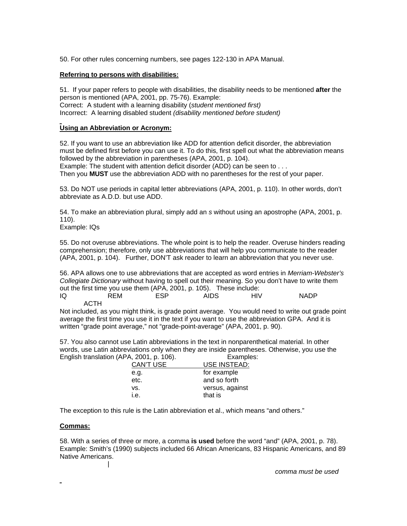50. For other rules concerning numbers, see pages 122-130 in APA Manual.

### **Referring to persons with disabilities:**

51. If your paper refers to people with disabilities, the disability needs to be mentioned **after** the person is mentioned (APA, 2001, pp. 75-76). Example: Correct: A student with a learning disability (*student mentioned first)* Incorrect: A learning disabled student *(disability mentioned before student)*

# **Using an Abbreviation or Acronym:**

52. If you want to use an abbreviation like ADD for attention deficit disorder, the abbreviation must be defined first before you can use it. To do this, first spell out what the abbreviation means followed by the abbreviation in parentheses (APA, 2001, p. 104). Example: The student with attention deficit disorder (ADD) can be seen to . . .

Then you **MUST** use the abbreviation ADD with no parentheses for the rest of your paper.

53. Do NOT use periods in capital letter abbreviations (APA, 2001, p. 110). In other words, don't abbreviate as A.D.D. but use ADD.

54. To make an abbreviation plural, simply add an *s* without using an apostrophe (APA, 2001, p. 110).

Example: IQs

55. Do not overuse abbreviations. The whole point is to help the reader. Overuse hinders reading comprehension; therefore, only use abbreviations that will help you communicate to the reader (APA, 2001, p. 104). Further, DON'T ask reader to learn an abbreviation that you never use.

56. APA allows one to use abbreviations that are accepted as word entries in *Merriam-Webster's Collegiate Dictionary* without having to spell out their meaning. So you don't have to write them out the first time you use them (APA, 2001, p. 105). These include:

| IQ | <b>REM</b> | <b>ESP</b> | AIDS | HIV | <b>NADP</b> |
|----|------------|------------|------|-----|-------------|
|    | ACTH       |            |      |     |             |

Not included, as you might think, is grade point average. You would need to write out grade point average the first time you use it in the text if you want to use the abbreviation GPA. And it is written "grade point average," not "grade-point-average" (APA, 2001, p. 90).

57. You also cannot use Latin abbreviations in the text in nonparenthetical material. In other words, use Latin abbreviations only when they are inside parentheses. Otherwise, you use the English translation (APA, 2001, p. 106). Examples:

| CAN'T USE | USE INSTEAD:    |
|-----------|-----------------|
| e.g.      | for example     |
| etc.      | and so forth    |
| VS.       | versus, against |
| i.e.      | that is         |
|           |                 |

The exception to this rule is the Latin abbreviation et al., which means "and others."

#### **Commas:**

58. With a series of three or more, a comma **is used** before the word "and" (APA, 2001, p. 78). Example: Smith's (1990) subjects included 66 African Americans, 83 Hispanic Americans, and 89 Native Americans.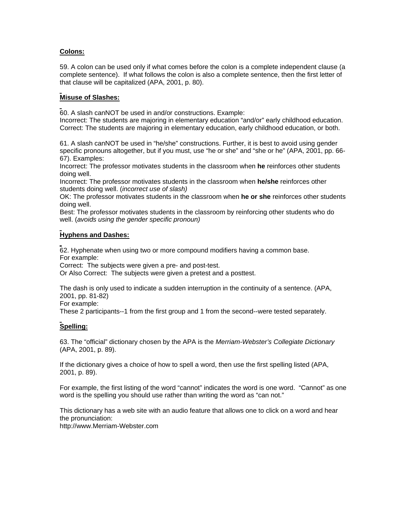### **Colons:**

59. A colon can be used only if what comes before the colon is a complete independent clause (a complete sentence). If what follows the colon is also a complete sentence, then the first letter of that clause will be capitalized (APA, 2001, p. 80).

### **Misuse of Slashes:**

60. A slash canNOT be used in and/or constructions. Example:

Incorrect: The students are majoring in elementary education "and/or" early childhood education. Correct: The students are majoring in elementary education, early childhood education, or both.

61. A slash canNOT be used in "he/she" constructions. Further, it is best to avoid using gender specific pronouns altogether, but if you must, use "he or she" and "she or he" (APA, 2001, pp. 66- 67). Examples:

Incorrect: The professor motivates students in the classroom when **he** reinforces other students doing well.

Incorrect: The professor motivates students in the classroom when **he/she** reinforces other students doing well. (*incorrect use of slash)*

OK: The professor motivates students in the classroom when **he or she** reinforces other students doing well.

Best: The professor motivates students in the classroom by reinforcing other students who do well. (*avoids using the gender specific pronoun)* 

# **Hyphens and Dashes:**

62. Hyphenate when using two or more compound modifiers having a common base. For example:

Correct:The subjects were given a pre- and post-test.

Or Also Correct: The subjects were given a pretest and a posttest.

The dash is only used to indicate a sudden interruption in the continuity of a sentence. (APA, 2001, pp. 81-82)

For example:

These 2 participants--1 from the first group and 1 from the second--were tested separately.

# **Spelling:**

63. The "official" dictionary chosen by the APA is the *Merriam-Webster's Collegiate Dictionary* (APA, 2001, p. 89).

If the dictionary gives a choice of how to spell a word, then use the first spelling listed (APA, 2001, p. 89).

For example, the first listing of the word "cannot" indicates the word is one word. "Cannot" as one word is the spelling you should use rather than writing the word as "can not."

This dictionary has a web site with an audio feature that allows one to click on a word and hear the pronunciation:

http://www.Merriam-Webster.com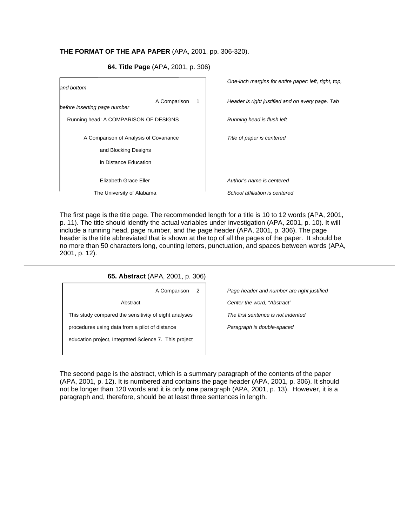### **THE FORMAT OF THE APA PAPER** (APA, 2001, pp. 306-320).

 *One-inch margins for entire paper: left, right, top, and bottom*  A Comparison 1 *Header is right justified and on every page. Tab before inserting page number*  $\overline{\phantom{a}}$ Running head: A COMPARISON OF DESIGNS *Running head is flush left*  $\overline{\phantom{a}}$  $\overline{\phantom{a}}$ A Comparison of Analysis of Covariance *Title of paper is centered*   $\overline{\phantom{a}}$  and Blocking Designs  $\overline{\phantom{a}}$  in Distance Education  $\overline{\phantom{a}}$  $\overline{\phantom{a}}$  Elizabeth Grace Eller *Author's name is centered*   $\overline{\phantom{a}}$ The University of Alabama *School affiliation is centered* 

 **64. Title Page** (APA, 2001, p. 306)

The first page is the title page. The recommended length for a title is 10 to 12 words (APA, 2001, p. 11). The title should identify the actual variables under investigation (APA, 2001, p. 10). It will include a running head, page number, and the page header (APA, 2001, p. 306). The page header is the title abbreviated that is shown at the top of all the pages of the paper. It should be no more than 50 characters long, counting letters, punctuation, and spaces between words (APA, 2001, p. 12).

#### **65. Abstract** (APA, 2001, p. 306)

 Abstract *Center the word, "Abstract"* This study compared the sensitivity of eight analyses *The first sentence is not indented*  procedures using data from a pilot of distance *Paragraph is double-spaced*  education project, Integrated Science 7. This project

A Comparison 2 *Page header and number are right justified* 

The second page is the abstract, which is a summary paragraph of the contents of the paper (APA, 2001, p. 12). It is numbered and contains the page header (APA, 2001, p. 306). It should not be longer than 120 words and it is only **one** paragraph (APA, 2001, p. 13). However, it is a paragraph and, therefore, should be at least three sentences in length.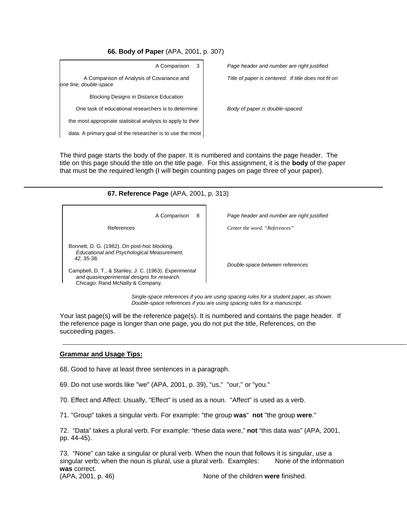**66. Body of Paper** (APA, 2001, p. 307)

| A Comparison<br>3                                                    | Page header and number are right justified           |
|----------------------------------------------------------------------|------------------------------------------------------|
| A Comparison of Analysis of Covariance and<br>one line, double-space | Title of paper is centered. If title does not fit on |
| <b>Blocking Designs in Distance Education</b>                        |                                                      |
| One task of educational researchers is to determine                  | Body of paper is double-spaced                       |
| the most appropriate statistical analysis to apply to their          |                                                      |
| data. A primary goal of the researcher is to use the most            |                                                      |

The third page starts the body of the paper. It is numbered and contains the page header. The title on this page should the title on the title page. For this assignment, it is the **body** of the paper that must be the required length (I will begin counting pages on page three of your paper).

### **67. Reference Page** (APA, 2001, p. 313)

 Bonnett, D. G. (1982). On post-hoc blocking. *Educational and Psychological Measurement, 42,* 35-38.

 Campbell, D. T., & Stanley, J. C. (1963). *Experimental and quasiexperimental designs for research.* Chicago: Rand McNally & Company.

A Comparison 8 *Page header and number are right justified* 

References *Center the word, "References"*

*Double-space between references*

 *Single-space references if you are using spacing rules for a student paper, as shown. Double-space references if you are using spacing rules for a manuscript.* 

Your last page(s) will be the reference page(s). It is numbered and contains the page header. If the reference page is longer than one page, you do not put the title, References, on the succeeding pages.

#### **Grammar and Usage Tips:**

 $\overline{a}$ 

68. Good to have at least three sentences in a paragraph.

69. Do not use words like "we" (APA, 2001, p. 39), "us," "our," or "you."

70. Effect and Affect: Usually, "Effect" is used as a noun. "Affect" is used as a verb.

71. "Group" takes a singular verb. For example: "the group **was**" **not** "the group **were**."

72. "Data" takes a plural verb. For example: "these data were," **not** "this data was" (APA, 2001, pp. 44-45).

73. "None" can take a singular or plural verb. When the noun that follows it is singular, use a singular verb; when the noun is plural, use a plural verb. Examples: None of the information **was** correct. (APA, 2001, p. 46) None of the children **were** finished.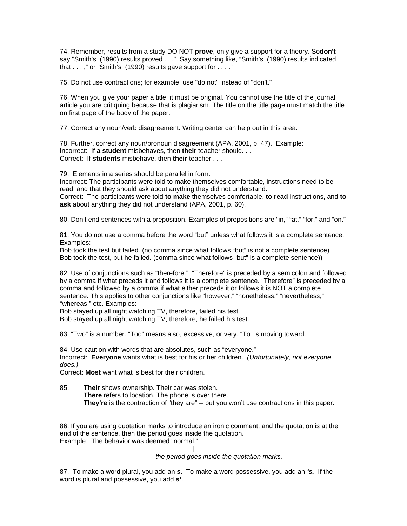74. Remember, results from a study DO NOT **prove**, only give a support for a theory. So**don't** say "Smith's (1990) results proved . . ." Say something like, "Smith's (1990) results indicated that  $\dots$ ," or "Smith's (1990) results gave support for  $\dots$ ."

75. Do not use contractions; for example, use "do not" instead of "don't."

76. When you give your paper a title, it must be original. You cannot use the title of the journal article you are critiquing because that is plagiarism. The title on the title page must match the title on first page of the body of the paper.

77. Correct any noun/verb disagreement. Writing center can help out in this area.

78. Further, correct any noun/pronoun disagreement (APA, 2001, p. 47). Example: Incorrect: If **a student** misbehaves, then **their** teacher should. . . Correct: If **students** misbehave, then **their** teacher . . .

79. Elements in a series should be parallel in form.

Incorrect: The participants were told to make themselves comfortable, instructions need to be read, and that they should ask about anything they did not understand.

Correct: The participants were told **to make** themselves comfortable, **to read** instructions, and **to ask** about anything they did not understand (APA, 2001, p. 60).

80. Don't end sentences with a preposition. Examples of prepositions are "in," "at," "for," and "on."

81. You do not use a comma before the word "but" unless what follows it is a complete sentence. Examples:

Bob took the test but failed. (no comma since what follows "but" is not a complete sentence) Bob took the test, but he failed. (comma since what follows "but" is a complete sentence))

82. Use of conjunctions such as "therefore." "Therefore" is preceded by a semicolon and followed by a comma if what preceds it and follows it is a complete sentence. "Therefore" is preceded by a comma and followed by a comma if what either preceds it or follows it is NOT a complete sentence. This applies to other conjunctions like "however," "nonetheless," "nevertheless," "whereas," etc. Examples:

Bob stayed up all night watching TV, therefore, failed his test.

Bob stayed up all night watching TV; therefore, he failed his test.

83. "Two" is a number. "Too" means also, excessive, or very. "To" is moving toward.

84. Use caution with words that are absolutes, such as "everyone." Incorrect: **Everyone** wants what is best for his or her children. *(Unfortunately, not everyone does.)*

Correct: **Most** want what is best for their children.

85. **Their** shows ownership. Their car was stolen. **There** refers to location. The phone is over there.  **They're** is the contraction of "they are" -- but you won't use contractions in this paper.

86. If you are using quotation marks to introduce an ironic comment, and the quotation is at the end of the sentence, then the period goes inside the quotation. Example: The behavior was deemed "normal."

 | *the period goes inside the quotation marks.*

87. To make a word plural, you add an *s*. To make a word possessive, you add an *'s.* If the word is plural and possessive, you add *s'*.